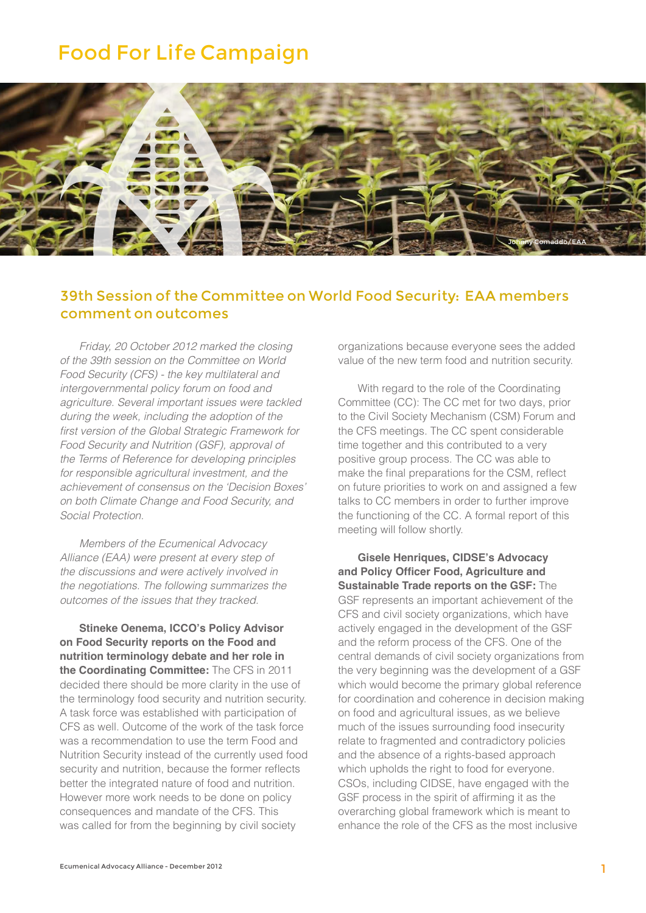## Food For Life Campaign



## 39th Session of the Committee on World Food Security: EAA members comment on outcomes

*Friday, 20 October 2012 marked the closing of the 39th session on the Committee on World Food Security (CFS) - the key multilateral and intergovernmental policy forum on food and agriculture. Several important issues were tackled during the week, including the adoption of the*  first version of the Global Strategic Framework for Food Security and Nutrition (GSF), approval of *the Terms of Reference for developing principles for responsible agricultural investment, and the achievement of consensus on the 'Decision Boxes' on both Climate Change and Food Security, and Social Protection.*

*Members of the Ecumenical Advocacy Alliance (EAA) were present at every step of the discussions and were actively involved in the negotiations. The following summarizes the outcomes of the issues that they tracked.*

**Stineke Oenema, ICCO's Policy Advisor on Food Security reports on the Food and nutrition terminology debate and her role in the Coordinating Committee:** The CFS in 2011 decided there should be more clarity in the use of the terminology food security and nutrition security. A task force was established with participation of CFS as well. Outcome of the work of the task force was a recommendation to use the term Food and Nutrition Security instead of the currently used food security and nutrition, because the former reflects better the integrated nature of food and nutrition. However more work needs to be done on policy consequences and mandate of the CFS. This was called for from the beginning by civil society

organizations because everyone sees the added value of the new term food and nutrition security.

With regard to the role of the Coordinating Committee (CC): The CC met for two days, prior to the Civil Society Mechanism (CSM) Forum and the CFS meetings. The CC spent considerable time together and this contributed to a very positive group process. The CC was able to make the final preparations for the CSM, reflect on future priorities to work on and assigned a few talks to CC members in order to further improve the functioning of the CC. A formal report of this meeting will follow shortly.

**Gisele Henriques, CIDSE's Advocacy and Policy Officer Food, Agriculture and Sustainable Trade reports on the GSF:** The GSF represents an important achievement of the CFS and civil society organizations, which have actively engaged in the development of the GSF and the reform process of the CFS. One of the central demands of civil society organizations from the very beginning was the development of a GSF which would become the primary global reference for coordination and coherence in decision making on food and agricultural issues, as we believe much of the issues surrounding food insecurity relate to fragmented and contradictory policies and the absence of a rights-based approach which upholds the right to food for everyone. CSOs, including CIDSE, have engaged with the GSF process in the spirit of affirming it as the overarching global framework which is meant to enhance the role of the CFS as the most inclusive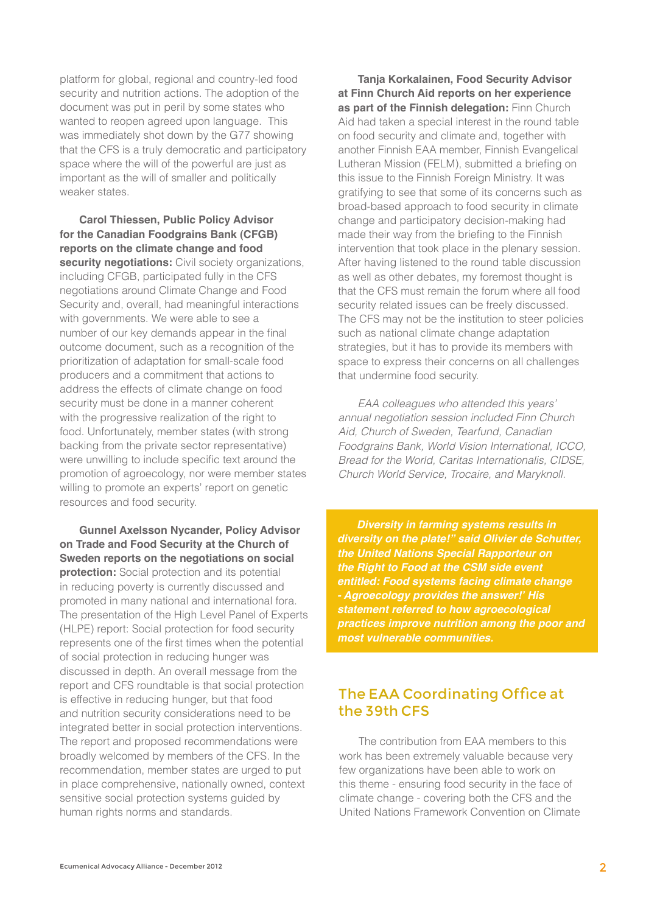platform for global, regional and country-led food security and nutrition actions. The adoption of the document was put in peril by some states who wanted to reopen agreed upon language. This was immediately shot down by the G77 showing that the CFS is a truly democratic and participatory space where the will of the powerful are just as important as the will of smaller and politically weaker states.

**Carol Thiessen, Public Policy Advisor for the Canadian Foodgrains Bank (CFGB) reports on the climate change and food security negotiations:** Civil society organizations, including CFGB, participated fully in the CFS negotiations around Climate Change and Food Security and, overall, had meaningful interactions with governments. We were able to see a number of our key demands appear in the final outcome document, such as a recognition of the prioritization of adaptation for small-scale food producers and a commitment that actions to address the effects of climate change on food security must be done in a manner coherent with the progressive realization of the right to food. Unfortunately, member states (with strong backing from the private sector representative) were unwilling to include specific text around the promotion of agroecology, nor were member states willing to promote an experts' report on genetic resources and food security.

**Gunnel Axelsson Nycander, Policy Advisor on Trade and Food Security at the Church of Sweden reports on the negotiations on social protection:** Social protection and its potential in reducing poverty is currently discussed and promoted in many national and international fora. The presentation of the High Level Panel of Experts (HLPE) report: Social protection for food security represents one of the first times when the potential of social protection in reducing hunger was discussed in depth. An overall message from the report and CFS roundtable is that social protection is effective in reducing hunger, but that food and nutrition security considerations need to be integrated better in social protection interventions. The report and proposed recommendations were broadly welcomed by members of the CFS. In the recommendation, member states are urged to put in place comprehensive, nationally owned, context sensitive social protection systems guided by human rights norms and standards.

**Tanja Korkalainen, Food Security Advisor at Finn Church Aid reports on her experience as part of the Finnish delegation:** Finn Church Aid had taken a special interest in the round table on food security and climate and, together with another Finnish EAA member, Finnish Evangelical Lutheran Mission (FELM), submitted a briefing on this issue to the Finnish Foreign Ministry. It was gratifying to see that some of its concerns such as broad-based approach to food security in climate change and participatory decision-making had made their way from the briefing to the Finnish intervention that took place in the plenary session. After having listened to the round table discussion as well as other debates, my foremost thought is that the CFS must remain the forum where all food security related issues can be freely discussed. The CFS may not be the institution to steer policies such as national climate change adaptation strategies, but it has to provide its members with space to express their concerns on all challenges that undermine food security.

*EAA colleagues who attended this years' annual negotiation session included Finn Church Aid, Church of Sweden, Tearfund, Canadian Foodgrains Bank, World Vision International, ICCO, Bread for the World, Caritas Internationalis, CIDSE, Church World Service, Trocaire, and Maryknoll.*

*Diversity in farming systems results in diversity on the plate!" said Olivier de Schutter, the United Nations Special Rapporteur on the Right to Food at the CSM side event entitled: Food systems facing climate change - Agroecology provides the answer!' His statement referred to how agroecological practices improve nutrition among the poor and most vulnerable communities.*

## The EAA Coordinating Office at the 39th CFS

The contribution from EAA members to this work has been extremely valuable because very few organizations have been able to work on this theme - ensuring food security in the face of climate change - covering both the CFS and the United Nations Framework Convention on Climate